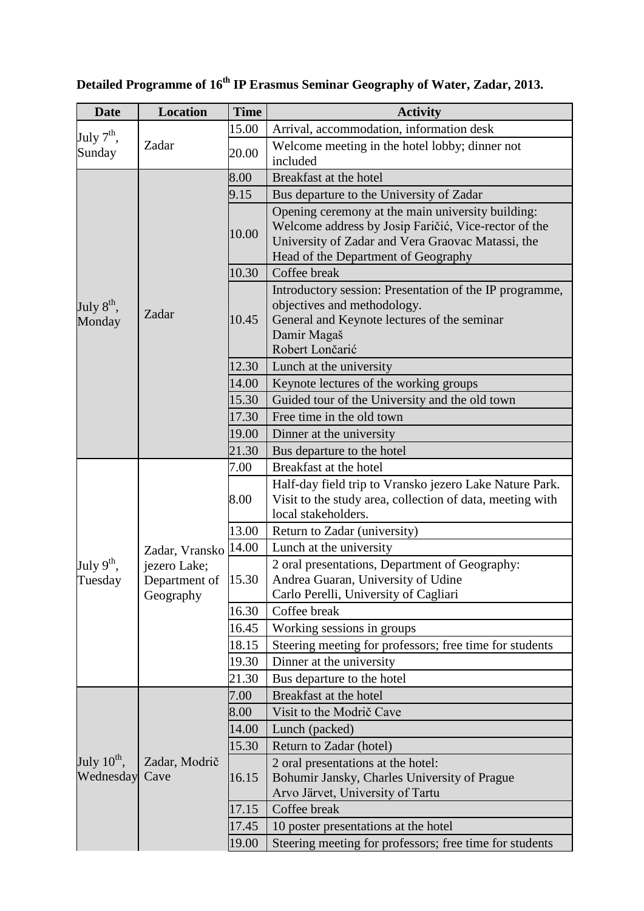| <b>Date</b>                          | <b>Location</b>                                                          | <b>Time</b> | <b>Activity</b>                                                                                                                                                                                       |
|--------------------------------------|--------------------------------------------------------------------------|-------------|-------------------------------------------------------------------------------------------------------------------------------------------------------------------------------------------------------|
| July $7th$ ,<br>Sunday               | Zadar                                                                    | 15.00       | Arrival, accommodation, information desk                                                                                                                                                              |
|                                      |                                                                          | 20.00       | Welcome meeting in the hotel lobby; dinner not                                                                                                                                                        |
|                                      |                                                                          |             | included                                                                                                                                                                                              |
| July $8^{\text{th}}$ ,<br>Monday     | Zadar                                                                    | 8.00        | Breakfast at the hotel                                                                                                                                                                                |
|                                      |                                                                          | 9.15        | Bus departure to the University of Zadar                                                                                                                                                              |
|                                      |                                                                          | 10.00       | Opening ceremony at the main university building:<br>Welcome address by Josip Faričić, Vice-rector of the<br>University of Zadar and Vera Graovac Matassi, the<br>Head of the Department of Geography |
|                                      |                                                                          | 10.30       | Coffee break                                                                                                                                                                                          |
|                                      |                                                                          | 10.45       | Introductory session: Presentation of the IP programme,<br>objectives and methodology.<br>General and Keynote lectures of the seminar<br>Damir Magaš<br>Robert Lončarić                               |
|                                      |                                                                          | 12.30       | Lunch at the university                                                                                                                                                                               |
|                                      |                                                                          | 14.00       | Keynote lectures of the working groups                                                                                                                                                                |
|                                      |                                                                          | 15.30       | Guided tour of the University and the old town                                                                                                                                                        |
|                                      |                                                                          | 17.30       | Free time in the old town                                                                                                                                                                             |
|                                      |                                                                          | 19.00       | Dinner at the university                                                                                                                                                                              |
|                                      |                                                                          | 21.30       | Bus departure to the hotel                                                                                                                                                                            |
|                                      |                                                                          | 7.00        | Breakfast at the hotel                                                                                                                                                                                |
|                                      |                                                                          | 8.00        | Half-day field trip to Vransko jezero Lake Nature Park.<br>Visit to the study area, collection of data, meeting with<br>local stakeholders.                                                           |
|                                      |                                                                          | 13.00       | Return to Zadar (university)                                                                                                                                                                          |
|                                      | Zadar, Vransko 14.00<br>jezero Lake;<br>Department of 15.30<br>Geography |             | Lunch at the university                                                                                                                                                                               |
| July $9^{\text{th}}$ ,<br>Tuesday    |                                                                          |             | 2 oral presentations, Department of Geography:<br>Andrea Guaran, University of Udine<br>Carlo Perelli, University of Cagliari                                                                         |
|                                      |                                                                          | 16.30       | Coffee break                                                                                                                                                                                          |
|                                      |                                                                          | 16.45       | Working sessions in groups                                                                                                                                                                            |
|                                      |                                                                          | 18.15       | Steering meeting for professors; free time for students                                                                                                                                               |
|                                      |                                                                          | 19.30       | Dinner at the university                                                                                                                                                                              |
|                                      |                                                                          | 21.30       | Bus departure to the hotel                                                                                                                                                                            |
|                                      | Zadar, Modrič<br>Cave                                                    | 7.00        | Breakfast at the hotel                                                                                                                                                                                |
|                                      |                                                                          | 8.00        | Visit to the Modrič Cave                                                                                                                                                                              |
|                                      |                                                                          | 14.00       | Lunch (packed)                                                                                                                                                                                        |
| July $10^{\text{th}}$ ,<br>Wednesday |                                                                          | 15.30       | Return to Zadar (hotel)                                                                                                                                                                               |
|                                      |                                                                          | 16.15       | 2 oral presentations at the hotel:<br>Bohumir Jansky, Charles University of Prague<br>Arvo Järvet, University of Tartu                                                                                |
|                                      |                                                                          | 17.15       | Coffee break                                                                                                                                                                                          |
|                                      |                                                                          | 17.45       | 10 poster presentations at the hotel                                                                                                                                                                  |
|                                      |                                                                          | 19.00       | Steering meeting for professors; free time for students                                                                                                                                               |

## **Detailed Programme of 16th IP Erasmus Seminar Geography of Water, Zadar, 2013.**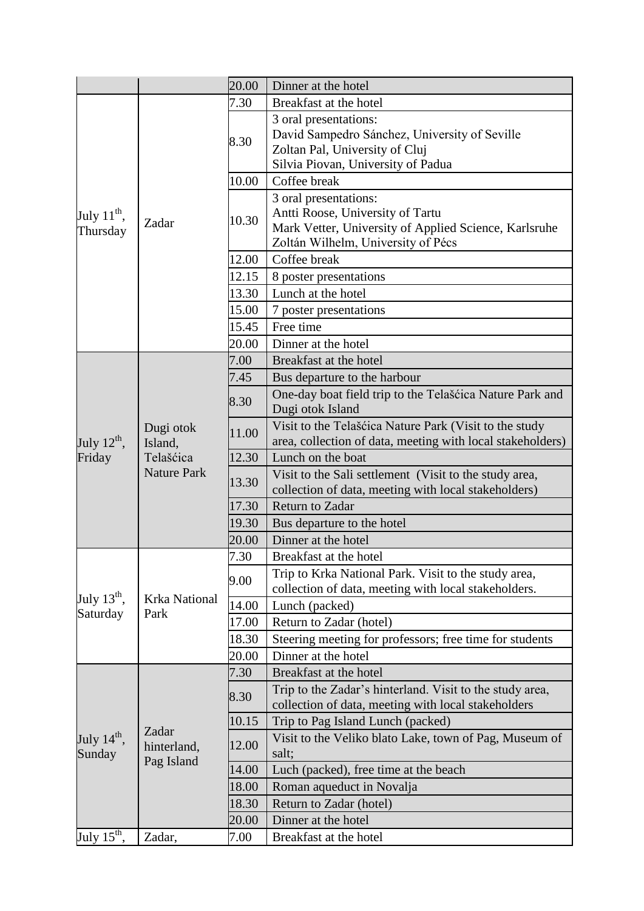|                                     |                                                         | 20.00 | Dinner at the hotel                                                                                                                            |
|-------------------------------------|---------------------------------------------------------|-------|------------------------------------------------------------------------------------------------------------------------------------------------|
| July $11^{\text{th}}$ ,<br>Thursday | Zadar                                                   | 7.30  | Breakfast at the hotel                                                                                                                         |
|                                     |                                                         | 8.30  | 3 oral presentations:<br>David Sampedro Sánchez, University of Seville<br>Zoltan Pal, University of Cluj<br>Silvia Piovan, University of Padua |
|                                     |                                                         | 10.00 | Coffee break                                                                                                                                   |
|                                     |                                                         |       | 3 oral presentations:                                                                                                                          |
|                                     |                                                         | 10.30 | Antti Roose, University of Tartu<br>Mark Vetter, University of Applied Science, Karlsruhe<br>Zoltán Wilhelm, University of Pécs                |
|                                     |                                                         | 12.00 | Coffee break                                                                                                                                   |
|                                     |                                                         | 12.15 | 8 poster presentations                                                                                                                         |
|                                     |                                                         | 13.30 | Lunch at the hotel                                                                                                                             |
|                                     |                                                         | 15.00 | 7 poster presentations                                                                                                                         |
|                                     |                                                         | 15.45 | Free time                                                                                                                                      |
|                                     |                                                         | 20.00 | Dinner at the hotel                                                                                                                            |
|                                     |                                                         | 7.00  | Breakfast at the hotel                                                                                                                         |
|                                     |                                                         | 7.45  | Bus departure to the harbour                                                                                                                   |
| July $12^{\text{th}}$ ,             | Dugi otok<br>Island,<br>Telašćica<br><b>Nature Park</b> | 8.30  | One-day boat field trip to the Telašćica Nature Park and<br>Dugi otok Island                                                                   |
|                                     |                                                         | 11.00 | Visit to the Telašćica Nature Park (Visit to the study<br>area, collection of data, meeting with local stakeholders)                           |
| Friday                              |                                                         | 12.30 | Lunch on the boat                                                                                                                              |
|                                     |                                                         | 13.30 | Visit to the Sali settlement (Visit to the study area,<br>collection of data, meeting with local stakeholders)                                 |
|                                     |                                                         | 17.30 | <b>Return to Zadar</b>                                                                                                                         |
|                                     |                                                         | 19.30 | Bus departure to the hotel                                                                                                                     |
|                                     |                                                         | 20.00 | Dinner at the hotel                                                                                                                            |
|                                     |                                                         | 7.30  | Breakfast at the hotel                                                                                                                         |
|                                     | <b>Krka National</b><br>Park                            | 9.00  | Trip to Krka National Park. Visit to the study area,<br>collection of data, meeting with local stakeholders.                                   |
| July $13^{\text{th}}$ ,<br>Saturday |                                                         | 14.00 | Lunch (packed)                                                                                                                                 |
|                                     |                                                         | 17.00 | Return to Zadar (hotel)                                                                                                                        |
|                                     |                                                         | 18.30 | Steering meeting for professors; free time for students                                                                                        |
|                                     |                                                         | 20.00 | Dinner at the hotel                                                                                                                            |
|                                     | Zadar<br>hinterland,<br>Pag Island                      | 7.30  | Breakfast at the hotel                                                                                                                         |
|                                     |                                                         | 8.30  | Trip to the Zadar's hinterland. Visit to the study area,<br>collection of data, meeting with local stakeholders                                |
| July $14^{\text{th}}$ ,<br>Sunday   |                                                         | 10.15 | Trip to Pag Island Lunch (packed)                                                                                                              |
|                                     |                                                         | 12.00 | Visit to the Veliko blato Lake, town of Pag, Museum of<br>salt;                                                                                |
|                                     |                                                         | 14.00 | Luch (packed), free time at the beach                                                                                                          |
|                                     |                                                         | 18.00 | Roman aqueduct in Novalja                                                                                                                      |
|                                     |                                                         | 18.30 | Return to Zadar (hotel)                                                                                                                        |
|                                     |                                                         | 20.00 | Dinner at the hotel                                                                                                                            |
| July $15^{\text{th}}$ ,             | Zadar,                                                  | 7.00  | Breakfast at the hotel                                                                                                                         |